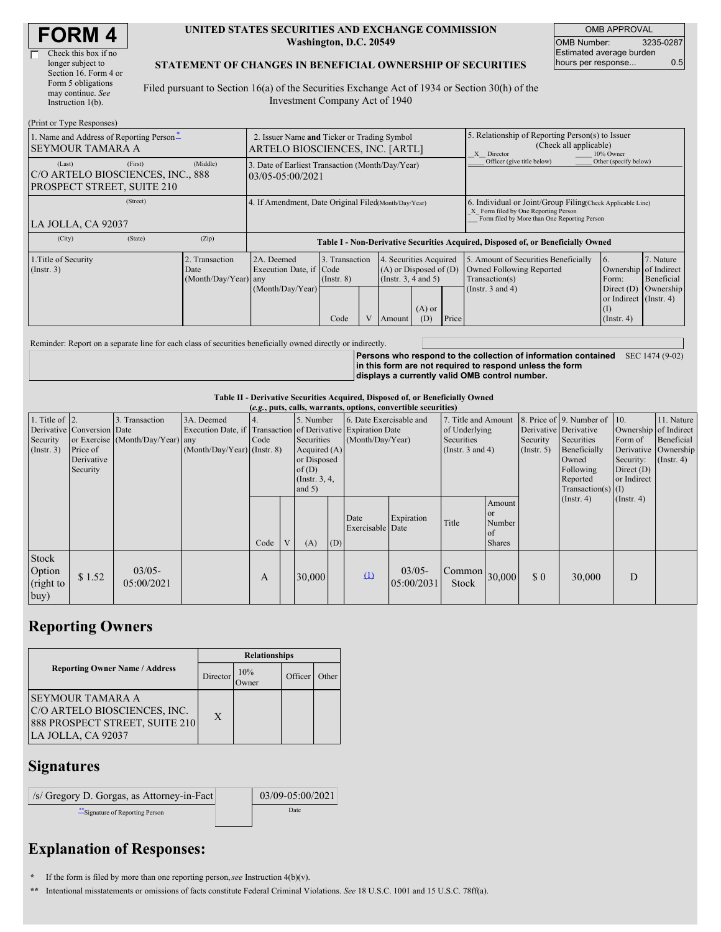| <b>FORM4</b> |
|--------------|
|--------------|

| Check this box if no  |
|-----------------------|
| longer subject to     |
| Section 16. Form 4 or |
| Form 5 obligations    |
| may continue. See     |
| Instruction 1(b).     |
|                       |

#### **UNITED STATES SECURITIES AND EXCHANGE COMMISSION Washington, D.C. 20549**

OMB APPROVAL OMB Number: 3235-0287 Estimated average burden hours per response... 0.5

### **STATEMENT OF CHANGES IN BENEFICIAL OWNERSHIP OF SECURITIES**

Filed pursuant to Section 16(a) of the Securities Exchange Act of 1934 or Section 30(h) of the Investment Company Act of 1940

| (Print or Type Responses)                                                            |                                                                                |                                                                                  |                                   |  |                                                                              |                                                                                                       |       |                                                                                                                                                    |                                                                                 |                                      |  |
|--------------------------------------------------------------------------------------|--------------------------------------------------------------------------------|----------------------------------------------------------------------------------|-----------------------------------|--|------------------------------------------------------------------------------|-------------------------------------------------------------------------------------------------------|-------|----------------------------------------------------------------------------------------------------------------------------------------------------|---------------------------------------------------------------------------------|--------------------------------------|--|
| 1. Name and Address of Reporting Person <sup>*</sup><br><b>SEYMOUR TAMARA A</b>      | 2. Issuer Name and Ticker or Trading Symbol<br>ARTELO BIOSCIENCES, INC. [ARTL] |                                                                                  |                                   |  |                                                                              | 5. Relationship of Reporting Person(s) to Issuer<br>(Check all applicable)<br>10% Owner<br>X Director |       |                                                                                                                                                    |                                                                                 |                                      |  |
| (First)<br>(Last)<br>C/O ARTELO BIOSCIENCES, INC., 888<br>PROSPECT STREET, SUITE 210 | (Middle)                                                                       | 3. Date of Earliest Transaction (Month/Day/Year)<br>03/05-05:00/2021             |                                   |  |                                                                              |                                                                                                       |       | Officer (give title below)                                                                                                                         | Other (specify below)                                                           |                                      |  |
| (Street)<br>LA JOLLA, CA 92037                                                       |                                                                                | 4. If Amendment, Date Original Filed(Month/Day/Year)                             |                                   |  |                                                                              |                                                                                                       |       | 6. Individual or Joint/Group Filing Check Applicable Line)<br>X Form filed by One Reporting Person<br>Form filed by More than One Reporting Person |                                                                                 |                                      |  |
| (City)<br>(State)                                                                    | (Zip)                                                                          | Table I - Non-Derivative Securities Acquired, Disposed of, or Beneficially Owned |                                   |  |                                                                              |                                                                                                       |       |                                                                                                                                                    |                                                                                 |                                      |  |
| 1. Title of Security<br>$($ Instr. 3 $)$                                             | 2. Transaction<br>Date<br>(Month/Day/Year) any                                 | 2A. Deemed<br>Execution Date, if Code<br>(Month/Day/Year)                        | 3. Transaction<br>$($ Instr. $8)$ |  | 4. Securities Acquired<br>$(A)$ or Disposed of $(D)$<br>(Insert. 3, 4 and 5) |                                                                                                       |       | 5. Amount of Securities Beneficially<br>Owned Following Reported<br>Transaction(s)<br>(Instr. $3$ and $4$ )                                        | 16.<br>Ownership of Indirect<br>Form:<br>Direct $(D)$<br>or Indirect (Instr. 4) | 7. Nature<br>Beneficial<br>Ownership |  |
|                                                                                      |                                                                                |                                                                                  | Code                              |  | Amount                                                                       | $(A)$ or<br>(D)                                                                                       | Price |                                                                                                                                                    | (I)<br>$($ Instr. 4 $)$                                                         |                                      |  |

Reminder: Report on a separate line for each class of securities beneficially owned directly or indirectly.

**Persons who respond to the collection of information contained** SEC 1474 (9-02) **in this form are not required to respond unless the form displays a currently valid OMB control number.**

#### **Table II - Derivative Securities Acquired, Disposed of, or Beneficially Owned**

|                                               | (e.g., puts, calls, warrants, options, convertible securities)   |                                                    |                                                                                                             |      |   |                                                                                                     |     |                                             |                          |                                                                                    |                                                      |                                                  |                                                                                                                                                  |                                                                                             |                                                                      |
|-----------------------------------------------|------------------------------------------------------------------|----------------------------------------------------|-------------------------------------------------------------------------------------------------------------|------|---|-----------------------------------------------------------------------------------------------------|-----|---------------------------------------------|--------------------------|------------------------------------------------------------------------------------|------------------------------------------------------|--------------------------------------------------|--------------------------------------------------------------------------------------------------------------------------------------------------|---------------------------------------------------------------------------------------------|----------------------------------------------------------------------|
| 1. Title of $ 2$ .<br>Security<br>(Insert. 3) | Derivative Conversion Date<br>Price of<br>Derivative<br>Security | 3. Transaction<br>or Exercise (Month/Day/Year) any | 3A. Deemed<br>Execution Date, if Transaction of Derivative Expiration Date<br>$(Month/Day/Year)$ (Instr. 8) | Code |   | 5. Number<br>Securities<br>Acquired $(A)$<br>or Disposed<br>of $(D)$<br>(Instr. $3, 4,$<br>and $5)$ |     | 6. Date Exercisable and<br>(Month/Day/Year) |                          | 7. Title and Amount<br>of Underlying<br><b>Securities</b><br>(Instr. $3$ and $4$ ) |                                                      | Derivative Derivative<br>Security<br>(Insert. 5) | 8. Price of 9. Number of $\vert$ 10.<br>Securities<br>Beneficially<br>Owned<br>Following<br>Reported<br>$Transaction(s)$ (I)<br>$($ Instr. 4 $)$ | Ownership of Indirect<br>Form of<br>Security:<br>Direct $(D)$<br>or Indirect<br>(Insert. 4) | 11. Nature<br>Beneficial<br>Derivative Ownership<br>$($ Instr. 4 $)$ |
|                                               |                                                                  |                                                    |                                                                                                             | Code | V | (A)                                                                                                 | (D) | Date<br>Exercisable Date                    | Expiration               | Title                                                                              | Amount<br><b>or</b><br>Number<br>of<br><b>Shares</b> |                                                  |                                                                                                                                                  |                                                                                             |                                                                      |
| Stock<br>Option<br>(right to<br>buy)          | \$1.52                                                           | $03/05 -$<br>05:00/2021                            |                                                                                                             | A    |   | 30,000                                                                                              |     | $\Omega$                                    | $03/05 -$<br>105:00/2031 | $\vert$ Common $\vert$ 30,000<br><b>Stock</b>                                      |                                                      | \$0                                              | 30,000                                                                                                                                           | D                                                                                           |                                                                      |

# **Reporting Owners**

|                                                                                                           | <b>Relationships</b> |              |         |       |  |  |  |  |
|-----------------------------------------------------------------------------------------------------------|----------------------|--------------|---------|-------|--|--|--|--|
| <b>Reporting Owner Name / Address</b>                                                                     | Director             | 10%<br>Jwner | Officer | Other |  |  |  |  |
| ISEYMOUR TAMARA A<br>C/O ARTELO BIOSCIENCES, INC.<br>888 PROSPECT STREET, SUITE 210<br>LA JOLLA, CA 92037 | X                    |              |         |       |  |  |  |  |

### **Signatures**

/s/ Gregory D. Gorgas, as Attorney-in-Fact 03/09-05:00/2021

\*\*Signature of Reporting Person Date

# **Explanation of Responses:**

**\*** If the form is filed by more than one reporting person,*see* Instruction 4(b)(v).

**\*\*** Intentional misstatements or omissions of facts constitute Federal Criminal Violations. *See* 18 U.S.C. 1001 and 15 U.S.C. 78ff(a).